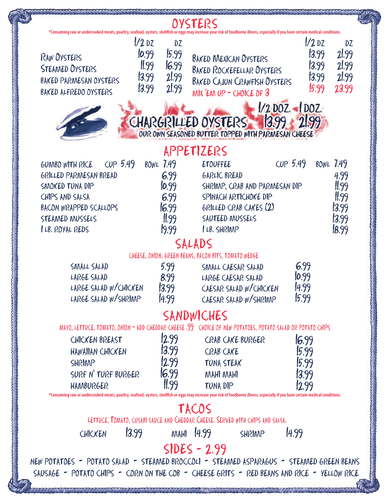|                                                                                                                                                                                   |                                                       |                                                          | OYSTERS                                                                                                                                                     |                                |                                              |                                                                              |  |  |  |
|-----------------------------------------------------------------------------------------------------------------------------------------------------------------------------------|-------------------------------------------------------|----------------------------------------------------------|-------------------------------------------------------------------------------------------------------------------------------------------------------------|--------------------------------|----------------------------------------------|------------------------------------------------------------------------------|--|--|--|
| *Consuming raw or undercooked meats, poultry, seafood, oysters, shellfish or eggs may increase your risk of foodborne illness, especially if you have certain medical conditions. |                                                       |                                                          |                                                                                                                                                             |                                |                                              |                                                                              |  |  |  |
| <b>RAW OYSTERS</b><br><b>STEAMED OYSTERS</b><br>BAKED PARMESAN OYSTERS<br>BAKED ALFREDO OYSTERS                                                                                   | $1/2$ DZ<br>10.99<br>$\parallel$ 99<br>13.99<br>13.99 | DZ<br>15.99<br>16.99<br>2!99<br>21.99                    | <b>BAKED MEXICAN OYSTERS</b><br><b>BAKED ROCKEFELLAR OYSTERS</b><br><b>BAKED CAJUN CRAWFISH OYSTERS</b><br>$MN$ EM UP - CHOICE OF $3$                       |                                | $1/2$ DZ<br>13.99<br>13.99<br>13.99<br>15.99 | DZ<br>2!99<br>2!99<br>21.99<br>23.99                                         |  |  |  |
| $1/2$ DOZ. - DOZ.<br>1399<br>CHARGRILLED OYSTERS<br>OUR OWN SEASONED BUTTER TOPPED WITH PARMESAN CHEESE                                                                           |                                                       |                                                          |                                                                                                                                                             |                                |                                              |                                                                              |  |  |  |
|                                                                                                                                                                                   |                                                       |                                                          | APPETIZERS                                                                                                                                                  |                                |                                              |                                                                              |  |  |  |
| $CUP$ 5.49<br>GUMBO WITH RICE<br>GRILLED PARMESAN BREAD<br>SMOKED TUNA DIP<br>CHIPS AND SALSA<br>BACON WRAPPED SCALLOPS<br>STEAMED MUSSELS<br><b>ILB. ROYAL REDS</b>              | <b>BOWL 7.49</b>                                      | 6.99<br>10.99<br>6.99<br>6.99<br>$\parallel$ 99<br>19.99 | <b>ETOUFFEE</b><br>GARLIC BREAD<br>SHRIMP, CRAB AND PARMESAN DIP<br>SPINACH ARTICHOKE DIP<br>GRILLED CRAB CAKES (2)<br>SAUTEED MUSSELS<br><b>LB. SHRIMP</b> | CUP 5.49                       |                                              | <b>BOWL 7.49</b><br>4.99<br>$\frac{11.99}{11.99}$<br>13.99<br>13.99<br>18.99 |  |  |  |
|                                                                                                                                                                                   |                                                       |                                                          |                                                                                                                                                             |                                |                                              |                                                                              |  |  |  |
|                                                                                                                                                                                   |                                                       |                                                          | SALADS                                                                                                                                                      |                                |                                              |                                                                              |  |  |  |
|                                                                                                                                                                                   |                                                       |                                                          | CHEESE, ONION, GREEN BEANS, BACON BITS, TOMATO WEDGE                                                                                                        |                                |                                              |                                                                              |  |  |  |
| SMALL SALAD<br>LARGE SALAD<br>LARGE SALAD W/CHICKEN<br>LARGE SALAD W/SHRIMP                                                                                                       |                                                       | 5.99<br>8.99<br>13.99<br>4.99                            | SMALL CAESAR SALAD<br>LARGE CAESAR SALAD<br>CAESAR SALAD W/CHICKEN<br>CAESAR SALAD W/SHRIMP                                                                 | 6.99<br>10.99<br>4.99<br>15.99 |                                              |                                                                              |  |  |  |
|                                                                                                                                                                                   |                                                       |                                                          |                                                                                                                                                             |                                |                                              |                                                                              |  |  |  |
|                                                                                                                                                                                   |                                                       |                                                          | SANDWICHES                                                                                                                                                  |                                |                                              |                                                                              |  |  |  |
|                                                                                                                                                                                   |                                                       |                                                          | MAYO, LETTUCE, TOMATO, ONION - ADD CHEDDAR CHEESE . 99 CHOICE OF NEW POTATOES, POTATO SALAD OR POTATO CHIPS                                                 |                                |                                              |                                                                              |  |  |  |
| CHICKEN BREAST                                                                                                                                                                    |                                                       | 12.99<br>13.99                                           | CRAB CAKE BURGER                                                                                                                                            | 16.99                          |                                              |                                                                              |  |  |  |
| HAWAIIAN CHICKEN<br>SHRIMP                                                                                                                                                        |                                                       | 12.99                                                    | <b>CRAB CAKE</b><br>TUNA STEAK                                                                                                                              | 5.99<br>15.99                  |                                              |                                                                              |  |  |  |
| SURF N' TURF BURGER                                                                                                                                                               |                                                       | 16.99                                                    | MAHI MAHI                                                                                                                                                   | 13.99                          |                                              |                                                                              |  |  |  |
| <b>HAMBURGER</b>                                                                                                                                                                  |                                                       | 11.99                                                    | TUNA DIP                                                                                                                                                    | 12.99                          |                                              |                                                                              |  |  |  |
| *Consuming raw or undercooked meats, poultry, seafood, oysters, shellfish or eggs may increase your risk of foodborne illness, especially if you have certain medical conditions. |                                                       |                                                          |                                                                                                                                                             |                                |                                              |                                                                              |  |  |  |
| TACOS                                                                                                                                                                             |                                                       |                                                          |                                                                                                                                                             |                                |                                              |                                                                              |  |  |  |
|                                                                                                                                                                                   |                                                       |                                                          | LETTUCE, TOMATO, CUSABI SAUCE AND CHEDDAR CHEESE. SERVED WITH CHIPS AND SALSA.                                                                              |                                |                                              |                                                                              |  |  |  |
| 13.99<br>CHICKEN                                                                                                                                                                  |                                                       |                                                          | MAHI 14.99<br>SHRIMP                                                                                                                                        | 4.99                           |                                              |                                                                              |  |  |  |
| $SIDES - 2.99$                                                                                                                                                                    |                                                       |                                                          |                                                                                                                                                             |                                |                                              |                                                                              |  |  |  |
| NEW POTATOES - POTATO SALAD - STEAMED BROCCOLI - STEAMED ASPARAGUS - STEAMED GREEN BEANS                                                                                          |                                                       |                                                          |                                                                                                                                                             |                                |                                              |                                                                              |  |  |  |
| SAUSAGE - POTATO CHIPS - CORN ON THE COB - CHEESE GRITS - RED BEANS AND RICE - YELLOW RICE                                                                                        |                                                       |                                                          |                                                                                                                                                             |                                |                                              |                                                                              |  |  |  |
|                                                                                                                                                                                   |                                                       |                                                          |                                                                                                                                                             |                                |                                              |                                                                              |  |  |  |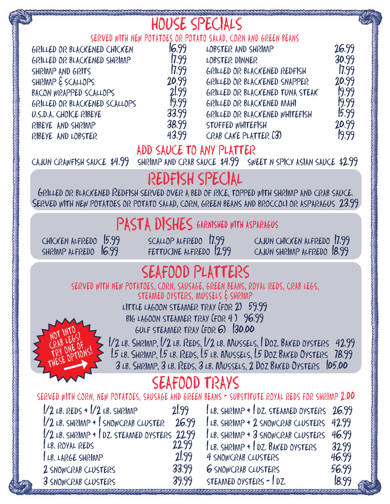|                                                                                                                                                                                                                                                                                                                                                                                                                                                                                                   | HOUSE SPECIALS                                                                 |                                                                                                                                                                                                                                                                                                                                                    |                                                                               |  |  |  |  |  |
|---------------------------------------------------------------------------------------------------------------------------------------------------------------------------------------------------------------------------------------------------------------------------------------------------------------------------------------------------------------------------------------------------------------------------------------------------------------------------------------------------|--------------------------------------------------------------------------------|----------------------------------------------------------------------------------------------------------------------------------------------------------------------------------------------------------------------------------------------------------------------------------------------------------------------------------------------------|-------------------------------------------------------------------------------|--|--|--|--|--|
| GRILLED OR BLACKENED CHICKEN<br>GRILLED OR BLACKENED SHRIMP<br>SHRIMP AND GRITS<br>SHRIMP & SCALLOPS<br>BACON WRAPPED SCALLOPS<br>GRILLED OR BLACKENED SCALLOPS<br>U.S.D.A. CHOICE RIBEYE<br>RIBEYE AND SHRIMP<br>RIBEYE AND LOBSTER<br>CAJUN CRAWFISH SAUCE \$4.99                                                                                                                                                                                                                               | 16.99<br>[7.99]<br>17.99<br>20.99<br>21,99<br>19.99<br>33.99<br>38.99<br>43.99 | SERVED WITH NEW POTATOES OR POTATO SALAD, CORN AND GREEN BEANS<br>LOBSTER AND SHRIMP<br>LOBSTER DINNER<br>GRILLED OR BLACKENED REDFISH<br>GRILLED OR BLACKENED SNAPPER<br>GRILLED OR BLACKENED TUNA STEAK<br>GRILLED OR BLACKENED MAHI<br>GRILLED OR BLACKENED WHITEFISH<br>STUFFED WHITEFISH<br>CRAB CAKE PLATTER (3)<br>ADD SAUCE TO ANY PLATTER | 26.99<br>30.99<br>17.99<br>20.99<br>19.99<br>19.99<br>15.99<br>20.99<br>19.99 |  |  |  |  |  |
| SHRIMP AND CRAB SAUCE \$4.99 SWEET N SPICY ASIAN SAUCE \$2.99<br>REDFISH SPECIAL<br>GRILLED OR BLACKENED REDFISH SERVED OVER A BED OF RICE, TOPPED WITH SHRIMP AND CRAB SAUCE.<br>SERVED WITH NEW POTATOES OR POTATO SALAD, CORN, GREEN BEANS AND BROCCOLI OR ASPARAGUS 23.99                                                                                                                                                                                                                     |                                                                                |                                                                                                                                                                                                                                                                                                                                                    |                                                                               |  |  |  |  |  |
| CHICKEN ALFREDO 15.99<br>SHRIMP ALFREDO 16.99                                                                                                                                                                                                                                                                                                                                                                                                                                                     | SCALLOP ALFREDO 17.99<br>FETTUCINE ALFREDO 12.99                               | PASTA DISHES GARNISHED WITH ASPARAGUS<br>CAJUN CHICKEN ALFREDO 17.99<br>CAJUN SHRINNP ALFREDO 18.99                                                                                                                                                                                                                                                |                                                                               |  |  |  |  |  |
| SEAFOOD PLATTERS<br>SERVED WITH NEW POTATOES, CORN, SAUSAGE, GREEN, BEANS, ROYAL REDS, CRAB LEGS,<br>STEAMED OYSTERS, MUSSELS & SHRIMP<br>LITTLE LAGOON STEAMER TRAY (FOR 2) 59.99<br>BIG LAGOON STEAMER TRAY (FOR 4) 96.99<br>GULF STEAMER TRAY (FOR 6) 130,00<br>1/2 LB. SHRIMP, 1/2 LB. REDS, 1/2 LB. MUSSELS, 1 DOZ. BAKED OYSTERS 42.99<br>1.5 LB. SHRIMP, 1.5 LB. REDS, 1.5 LB. MUSSELS, 1.5 DOZ BAKED OYSTERS 78.99<br>3 LB. SHRIMP, 3 LB. REDS, 3 LB. MUSSELS, 2 DOZ BAKED OYSTERS 105.00 |                                                                                |                                                                                                                                                                                                                                                                                                                                                    |                                                                               |  |  |  |  |  |
| SEAFOOD TRAYS<br>SERVED WITH CORN, NEW POTATOES, SAUSAGE AND GREEN BEANS - SUBSTITUTE ROYAL REDS FOR SHRIMP 2.00                                                                                                                                                                                                                                                                                                                                                                                  |                                                                                |                                                                                                                                                                                                                                                                                                                                                    |                                                                               |  |  |  |  |  |
| $1/2$ LB. REDS + $1/2$ LB. SHRIAAP<br>1/2 LB. SHRIMP + SNOWCRAB CLUSTER 26.99<br>1/2 LB. SHRIMP + 1 DZ. STEAMED OYSTERS 22.99<br>LB. ROYAL REDS<br>LB. LARGE SHRIMP<br>2 SNOWCRAB CLUSTERS<br>3 SNOWCRAB CLUSTERS                                                                                                                                                                                                                                                                                 | 21.99<br>22.99<br>2199<br>33.99<br>39.99                                       | LB. SHRIMP + DZ. STEAMED OYSTERS 26.99<br>LB. SHRINNP + 2 SNOWCRAB CLUSTERS<br>LB. SHRIMP + 3 SNOWCRAB CLUSTERS<br>LB. SHRIMP + DZ. BAKED OYSTERS<br>4 SNOWCRAB CLUSTERS<br><b>6</b> SNOWCRAB CLUSTERS<br>STEAMED OYSTERS - 1 DZ.                                                                                                                  | 42.99<br>46.99<br>32.99<br>46.99<br>56.99<br>18.99                            |  |  |  |  |  |